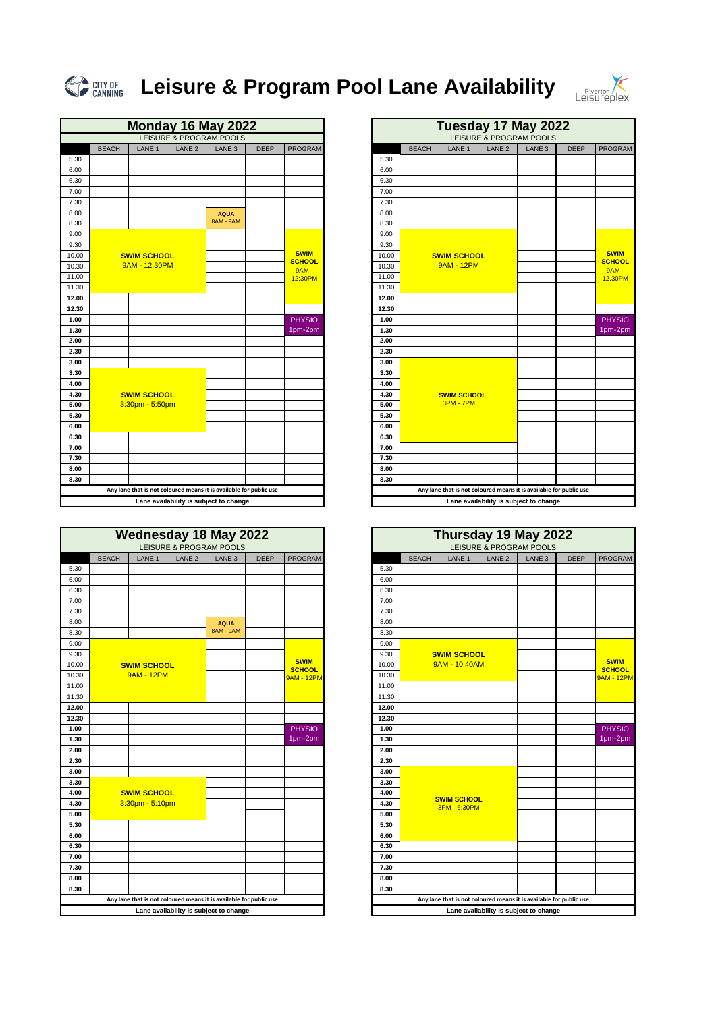|       |              |                    |                   | <b>Monday 16 May 2022</b>                                          |             |                              |
|-------|--------------|--------------------|-------------------|--------------------------------------------------------------------|-------------|------------------------------|
|       |              |                    |                   | LEISURE & PROGRAM POOLS                                            |             |                              |
|       | <b>BEACH</b> | LANE 1             | LANE <sub>2</sub> | LANE <sub>3</sub>                                                  | <b>DEEP</b> | <b>PROGRAM</b>               |
| 5.30  |              |                    |                   |                                                                    |             |                              |
| 6.00  |              |                    |                   |                                                                    |             |                              |
| 6.30  |              |                    |                   |                                                                    |             |                              |
| 7.00  |              |                    |                   |                                                                    |             |                              |
| 7.30  |              |                    |                   |                                                                    |             |                              |
| 8.00  |              |                    |                   | <b>AQUA</b>                                                        |             |                              |
| 8.30  |              |                    |                   | 8AM - 9AM                                                          |             |                              |
| 9.00  |              |                    |                   |                                                                    |             |                              |
| 9.30  |              |                    |                   |                                                                    |             |                              |
| 10.00 |              | <b>SWIM SCHOOL</b> |                   |                                                                    |             | <b>SWIM</b><br><b>SCHOOL</b> |
| 10.30 |              | 9AM - 12.30PM      |                   |                                                                    |             | <b>9AM -</b>                 |
| 11.00 |              |                    |                   |                                                                    |             | 12:30PM                      |
| 11.30 |              |                    |                   |                                                                    |             |                              |
| 12.00 |              |                    |                   |                                                                    |             |                              |
| 12.30 |              |                    |                   |                                                                    |             |                              |
| 1.00  |              |                    |                   |                                                                    |             | <b>PHYSIO</b>                |
| 1.30  |              |                    |                   |                                                                    |             | 1pm-2pm                      |
| 2.00  |              |                    |                   |                                                                    |             |                              |
| 2.30  |              |                    |                   |                                                                    |             |                              |
| 3.00  |              |                    |                   |                                                                    |             |                              |
| 3.30  |              |                    |                   |                                                                    |             |                              |
| 4.00  |              |                    |                   |                                                                    |             |                              |
| 4.30  |              | <b>SWIM SCHOOL</b> |                   |                                                                    |             |                              |
| 5.00  |              | 3:30pm - 5:50pm    |                   |                                                                    |             |                              |
| 5.30  |              |                    |                   |                                                                    |             |                              |
| 6.00  |              |                    |                   |                                                                    |             |                              |
| 6.30  |              |                    |                   |                                                                    |             |                              |
| 7.00  |              |                    |                   |                                                                    |             |                              |
| 7.30  |              |                    |                   |                                                                    |             |                              |
| 8.00  |              |                    |                   |                                                                    |             |                              |
| 8.30  |              |                    |                   |                                                                    |             |                              |
|       |              |                    |                   | Any lane that is not coloured means it is available for public use |             |                              |
|       |              |                    |                   | Lane availability is subject to change                             |             |                              |

| <b>Monday 16 May 2022</b> |                    |                   |                                                                    |             |                               |       |              | Tuesday 17 May 2022                                                |                                        |                   |             |                          |
|---------------------------|--------------------|-------------------|--------------------------------------------------------------------|-------------|-------------------------------|-------|--------------|--------------------------------------------------------------------|----------------------------------------|-------------------|-------------|--------------------------|
|                           |                    |                   | <b>LEISURE &amp; PROGRAM POOLS</b>                                 |             |                               |       |              |                                                                    | LEISURE & PROGRAM POOLS                |                   |             |                          |
| <b>BEACH</b>              | LANE <sub>1</sub>  | LANE <sub>2</sub> | LANE <sub>3</sub>                                                  | <b>DEEP</b> | <b>PROGRAM</b>                |       | <b>BEACH</b> | LANE <sub>1</sub>                                                  | LANE <sub>2</sub>                      | LANE <sub>3</sub> | <b>DEEP</b> | PROGRAM                  |
|                           |                    |                   |                                                                    |             |                               | 5.30  |              |                                                                    |                                        |                   |             |                          |
|                           |                    |                   |                                                                    |             |                               | 6.00  |              |                                                                    |                                        |                   |             |                          |
|                           |                    |                   |                                                                    |             |                               | 6.30  |              |                                                                    |                                        |                   |             |                          |
|                           |                    |                   |                                                                    |             |                               | 7.00  |              |                                                                    |                                        |                   |             |                          |
|                           |                    |                   |                                                                    |             |                               | 7.30  |              |                                                                    |                                        |                   |             |                          |
|                           |                    |                   | <b>AQUA</b>                                                        |             |                               | 8.00  |              |                                                                    |                                        |                   |             |                          |
|                           |                    |                   | <b>8AM - 9AM</b>                                                   |             |                               | 8.30  |              |                                                                    |                                        |                   |             |                          |
|                           |                    |                   |                                                                    |             |                               | 9.00  |              |                                                                    |                                        |                   |             |                          |
|                           |                    |                   |                                                                    |             |                               | 9.30  |              |                                                                    |                                        |                   |             |                          |
|                           | <b>SWIM SCHOOL</b> |                   |                                                                    |             | <b>SWIM</b>                   | 10.00 |              | <b>SWIM SCHOOL</b>                                                 |                                        |                   |             | <b>SWIM</b>              |
|                           | 9AM - 12.30PM      |                   |                                                                    |             | <b>SCHOOL</b><br><b>9AM -</b> | 10.30 |              | <b>9AM - 12PM</b>                                                  |                                        |                   |             | <b>SCHOOL</b><br>$9AM -$ |
|                           |                    |                   |                                                                    |             | 12:30PM                       | 11.00 |              |                                                                    |                                        |                   |             | 12.30PM                  |
|                           |                    |                   |                                                                    |             |                               | 11.30 |              |                                                                    |                                        |                   |             |                          |
|                           |                    |                   |                                                                    |             |                               | 12.00 |              |                                                                    |                                        |                   |             |                          |
|                           |                    |                   |                                                                    |             |                               | 12.30 |              |                                                                    |                                        |                   |             |                          |
|                           |                    |                   |                                                                    |             | <b>PHYSIO</b>                 | 1.00  |              |                                                                    |                                        |                   |             | <b>PHYSIO</b>            |
|                           |                    |                   |                                                                    |             | 1pm-2pm                       | 1.30  |              |                                                                    |                                        |                   |             | 1pm-2pm                  |
|                           |                    |                   |                                                                    |             |                               | 2.00  |              |                                                                    |                                        |                   |             |                          |
|                           |                    |                   |                                                                    |             |                               | 2.30  |              |                                                                    |                                        |                   |             |                          |
|                           |                    |                   |                                                                    |             |                               | 3.00  |              |                                                                    |                                        |                   |             |                          |
|                           |                    |                   |                                                                    |             |                               | 3.30  |              |                                                                    |                                        |                   |             |                          |
|                           |                    |                   |                                                                    |             |                               | 4.00  |              |                                                                    |                                        |                   |             |                          |
|                           | <b>SWIM SCHOOL</b> |                   |                                                                    |             |                               | 4.30  |              | <b>SWIM SCHOOL</b>                                                 |                                        |                   |             |                          |
|                           | 3:30pm - 5:50pm    |                   |                                                                    |             |                               | 5.00  |              | <b>3PM - 7PM</b>                                                   |                                        |                   |             |                          |
|                           |                    |                   |                                                                    |             |                               | 5.30  |              |                                                                    |                                        |                   |             |                          |
|                           |                    |                   |                                                                    |             |                               | 6.00  |              |                                                                    |                                        |                   |             |                          |
|                           |                    |                   |                                                                    |             |                               | 6.30  |              |                                                                    |                                        |                   |             |                          |
|                           |                    |                   |                                                                    |             |                               | 7.00  |              |                                                                    |                                        |                   |             |                          |
|                           |                    |                   |                                                                    |             |                               | 7.30  |              |                                                                    |                                        |                   |             |                          |
|                           |                    |                   |                                                                    |             |                               | 8.00  |              |                                                                    |                                        |                   |             |                          |
|                           |                    |                   |                                                                    |             |                               | 8.30  |              |                                                                    |                                        |                   |             |                          |
|                           |                    |                   | Any lane that is not coloured means it is available for public use |             |                               |       |              | Any lane that is not coloured means it is available for public use |                                        |                   |             |                          |
|                           |                    |                   | Lane availability is subject to change                             |             |                               |       |              |                                                                    | Lane availability is subject to change |                   |             |                          |



## **Leisure & Program Pool Lane Availability**



| <b>Wednesday 18 May 2022</b><br>LEISURE & PROGRAM POOLS |                    |                   |                                                                    |             |                              |       | Thursday 19 May 2022<br>LEISURE & PROGRAM POOLS |                                                                    |                   |                                        |             |                              |
|---------------------------------------------------------|--------------------|-------------------|--------------------------------------------------------------------|-------------|------------------------------|-------|-------------------------------------------------|--------------------------------------------------------------------|-------------------|----------------------------------------|-------------|------------------------------|
| <b>BEACH</b>                                            | LANE 1             | LANE <sub>2</sub> | LANE <sub>3</sub>                                                  | <b>DEEP</b> | PROGRAM                      |       | <b>BEACH</b>                                    | LANE 1                                                             | LANE <sub>2</sub> | LANE <sub>3</sub>                      | <b>DEEP</b> | PROGRAM                      |
|                                                         |                    |                   |                                                                    |             |                              | 5.30  |                                                 |                                                                    |                   |                                        |             |                              |
|                                                         |                    |                   |                                                                    |             |                              | 6.00  |                                                 |                                                                    |                   |                                        |             |                              |
|                                                         |                    |                   |                                                                    |             |                              | 6.30  |                                                 |                                                                    |                   |                                        |             |                              |
|                                                         |                    |                   |                                                                    |             |                              | 7.00  |                                                 |                                                                    |                   |                                        |             |                              |
|                                                         |                    |                   |                                                                    |             |                              | 7.30  |                                                 |                                                                    |                   |                                        |             |                              |
|                                                         |                    |                   | <b>AQUA</b>                                                        |             |                              | 8.00  |                                                 |                                                                    |                   |                                        |             |                              |
|                                                         |                    |                   | 8AM - 9AM                                                          |             |                              | 8.30  |                                                 |                                                                    |                   |                                        |             |                              |
|                                                         |                    |                   |                                                                    |             |                              | 9.00  |                                                 |                                                                    |                   |                                        |             |                              |
|                                                         |                    |                   |                                                                    |             |                              | 9.30  | <b>SWIM SCHOOL</b>                              |                                                                    |                   |                                        |             |                              |
|                                                         | <b>SWIM SCHOOL</b> |                   |                                                                    |             | <b>SWIM</b><br><b>SCHOOL</b> | 10.00 |                                                 | 9AM - 10.40AM                                                      |                   |                                        |             | <b>SWIM</b><br><b>SCHOOL</b> |
|                                                         | <b>9AM - 12PM</b>  |                   |                                                                    |             | <mark>9AM - 12PM</mark>      | 10.30 |                                                 |                                                                    |                   |                                        |             | <b>9AM - 12PM</b>            |
|                                                         |                    |                   |                                                                    |             |                              | 11.00 |                                                 |                                                                    |                   |                                        |             |                              |
|                                                         |                    |                   |                                                                    |             |                              | 11.30 |                                                 |                                                                    |                   |                                        |             |                              |
|                                                         |                    |                   |                                                                    |             |                              | 12.00 |                                                 |                                                                    |                   |                                        |             |                              |
|                                                         |                    |                   |                                                                    |             |                              | 12.30 |                                                 |                                                                    |                   |                                        |             |                              |
|                                                         |                    |                   |                                                                    |             | <b>PHYSIO</b>                | 1.00  |                                                 |                                                                    |                   |                                        |             | <b>PHYSIO</b>                |
|                                                         |                    |                   |                                                                    |             | 1pm-2pm                      | 1.30  |                                                 |                                                                    |                   |                                        |             | 1pm-2pm                      |
|                                                         |                    |                   |                                                                    |             |                              | 2.00  |                                                 |                                                                    |                   |                                        |             |                              |
|                                                         |                    |                   |                                                                    |             |                              | 2.30  |                                                 |                                                                    |                   |                                        |             |                              |
|                                                         |                    |                   |                                                                    |             |                              | 3.00  |                                                 |                                                                    |                   |                                        |             |                              |
|                                                         |                    |                   |                                                                    |             |                              | 3.30  |                                                 |                                                                    |                   |                                        |             |                              |
|                                                         | <b>SWIM SCHOOL</b> |                   |                                                                    |             |                              | 4.00  |                                                 | <b>SWIM SCHOOL</b>                                                 |                   |                                        |             |                              |
|                                                         | 3:30pm - 5:10pm    |                   |                                                                    |             |                              | 4.30  |                                                 | 3PM - 6:30PM                                                       |                   |                                        |             |                              |
|                                                         |                    |                   |                                                                    |             |                              | 5.00  |                                                 |                                                                    |                   |                                        |             |                              |
|                                                         |                    |                   |                                                                    |             |                              | 5.30  |                                                 |                                                                    |                   |                                        |             |                              |
|                                                         |                    |                   |                                                                    |             |                              | 6.00  |                                                 |                                                                    |                   |                                        |             |                              |
|                                                         |                    |                   |                                                                    |             |                              | 6.30  |                                                 |                                                                    |                   |                                        |             |                              |
|                                                         |                    |                   |                                                                    |             |                              | 7.00  |                                                 |                                                                    |                   |                                        |             |                              |
|                                                         |                    |                   |                                                                    |             |                              | 7.30  |                                                 |                                                                    |                   |                                        |             |                              |
|                                                         |                    |                   |                                                                    |             |                              | 8.00  |                                                 |                                                                    |                   |                                        |             |                              |
|                                                         |                    |                   |                                                                    |             |                              | 8.30  |                                                 |                                                                    |                   |                                        |             |                              |
|                                                         |                    |                   | Any lane that is not coloured means it is available for public use |             |                              |       |                                                 | Any lane that is not coloured means it is available for public use |                   |                                        |             |                              |
|                                                         |                    |                   | Lane availability is subject to change                             |             |                              |       |                                                 |                                                                    |                   | Lane availability is subject to change |             |                              |

|       |              |                    |                   | <b>Wednesday 18 May 2022</b><br><b>LEISURE &amp; PROGRAM POOLS</b> |             | Thursday 19 May 2022<br>LEISURE & PROGRAM POOLS |       |              |                                    |                                                                    |                   |             |
|-------|--------------|--------------------|-------------------|--------------------------------------------------------------------|-------------|-------------------------------------------------|-------|--------------|------------------------------------|--------------------------------------------------------------------|-------------------|-------------|
|       | <b>BEACH</b> | LANE 1             | LANE <sub>2</sub> | LANE <sub>3</sub>                                                  | <b>DEEP</b> | PROGRAM                                         |       | <b>BEACH</b> | LANE 1                             | LANE <sub>2</sub>                                                  | LANE <sub>3</sub> | <b>DEEP</b> |
| 5.30  |              |                    |                   |                                                                    |             |                                                 | 5.30  |              |                                    |                                                                    |                   |             |
| 6.00  |              |                    |                   |                                                                    |             |                                                 | 6.00  |              |                                    |                                                                    |                   |             |
| 6.30  |              |                    |                   |                                                                    |             |                                                 | 6.30  |              |                                    |                                                                    |                   |             |
| 7.00  |              |                    |                   |                                                                    |             |                                                 | 7.00  |              |                                    |                                                                    |                   |             |
| 7.30  |              |                    |                   |                                                                    |             |                                                 | 7.30  |              |                                    |                                                                    |                   |             |
| 8.00  |              |                    |                   | <b>AQUA</b>                                                        |             |                                                 | 8.00  |              |                                    |                                                                    |                   |             |
| 8.30  |              |                    |                   | 8AM - 9AM                                                          |             |                                                 | 8.30  |              |                                    |                                                                    |                   |             |
| 9.00  |              |                    |                   |                                                                    |             |                                                 | 9.00  |              |                                    |                                                                    |                   |             |
| 9.30  |              |                    |                   |                                                                    |             |                                                 | 9.30  |              | <b>SWIM SCHOOL</b>                 |                                                                    |                   |             |
| 10.00 |              | <b>SWIM SCHOOL</b> |                   |                                                                    |             | <b>SWIM</b><br><b>SCHOOL</b>                    | 10.00 |              | 9AM - 10.40AM                      |                                                                    |                   |             |
| 10.30 |              | <b>9AM - 12PM</b>  |                   |                                                                    |             | <mark>9AM - 12PM</mark>                         | 10.30 |              |                                    |                                                                    |                   |             |
| 11.00 |              |                    |                   |                                                                    |             |                                                 | 11.00 |              |                                    |                                                                    |                   |             |
| 11.30 |              |                    |                   |                                                                    |             |                                                 | 11.30 |              |                                    |                                                                    |                   |             |
| 12.00 |              |                    |                   |                                                                    |             |                                                 | 12.00 |              |                                    |                                                                    |                   |             |
| 12.30 |              |                    |                   |                                                                    |             |                                                 | 12.30 |              |                                    |                                                                    |                   |             |
| 1.00  |              |                    |                   |                                                                    |             | <b>PHYSIO</b>                                   | 1.00  |              |                                    |                                                                    |                   |             |
| 1.30  |              |                    |                   |                                                                    |             | 1pm-2pm                                         | 1.30  |              |                                    |                                                                    |                   |             |
| 2.00  |              |                    |                   |                                                                    |             |                                                 | 2.00  |              |                                    |                                                                    |                   |             |
| 2.30  |              |                    |                   |                                                                    |             |                                                 | 2.30  |              |                                    |                                                                    |                   |             |
| 3.00  |              |                    |                   |                                                                    |             |                                                 | 3.00  |              |                                    |                                                                    |                   |             |
| 3.30  |              |                    |                   |                                                                    |             |                                                 | 3.30  |              |                                    |                                                                    |                   |             |
| 4.00  |              | <b>SWIM SCHOOL</b> |                   |                                                                    |             |                                                 | 4.00  |              |                                    |                                                                    |                   |             |
| 4.30  |              | 3:30pm - 5:10pm    |                   |                                                                    |             |                                                 | 4.30  |              | <b>SWIM SCHOOL</b><br>3PM - 6:30PM |                                                                    |                   |             |
| 5.00  |              |                    |                   |                                                                    |             |                                                 | 5.00  |              |                                    |                                                                    |                   |             |
| 5.30  |              |                    |                   |                                                                    |             |                                                 | 5.30  |              |                                    |                                                                    |                   |             |
| 6.00  |              |                    |                   |                                                                    |             |                                                 | 6.00  |              |                                    |                                                                    |                   |             |
| 6.30  |              |                    |                   |                                                                    |             |                                                 | 6.30  |              |                                    |                                                                    |                   |             |
| 7.00  |              |                    |                   |                                                                    |             |                                                 | 7.00  |              |                                    |                                                                    |                   |             |
| 7.30  |              |                    |                   |                                                                    |             |                                                 | 7.30  |              |                                    |                                                                    |                   |             |
| 8.00  |              |                    |                   |                                                                    |             |                                                 | 8.00  |              |                                    |                                                                    |                   |             |
| 8.30  |              |                    |                   |                                                                    |             |                                                 | 8.30  |              |                                    |                                                                    |                   |             |
|       |              |                    |                   | Any lane that is not coloured means it is available for public use |             |                                                 |       |              |                                    | Any lane that is not coloured means it is available for public use |                   |             |
|       |              |                    |                   | Lane availability is subject to change                             |             |                                                 |       |              |                                    | Lane availability is subject to change                             |                   |             |